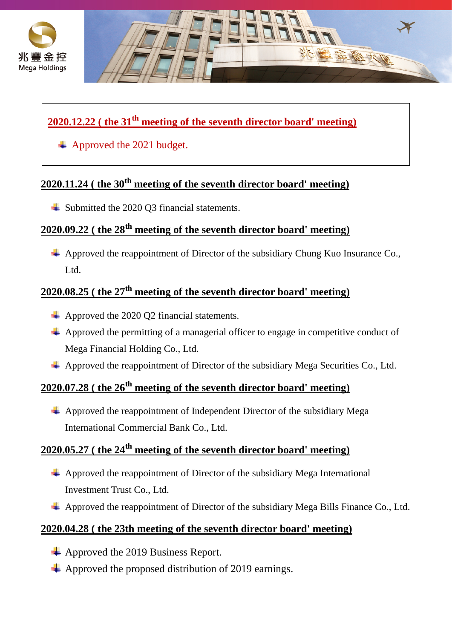



### **2020.12.22 ( the 31th meeting of the seventh director board' meeting)**

Approved the 2021 budget.

# **2020.11.24 ( the 30th meeting of the seventh director board' meeting)**

**↓** Submitted the 2020 Q3 financial statements.

# **2020.09.22 ( the 28th meeting of the seventh director board' meeting)**

 $\overline{+}$  Approved the reappointment of Director of the subsidiary Chung Kuo Insurance Co. Ltd.

#### **2020.08.25 ( the 27th meeting of the seventh director board' meeting)**

- $\overline{\phantom{a}}$  Approved the 2020 Q2 financial statements.
- $\overline{\phantom{a}}$  Approved the permitting of a managerial officer to engage in competitive conduct of Mega Financial Holding Co., Ltd.
- $\overline{\phantom{a}}$  Approved the reappointment of Director of the subsidiary Mega Securities Co., Ltd.

# **2020.07.28 ( the 26th meeting of the seventh director board' meeting)**

 $\triangleq$  Approved the reappointment of Independent Director of the subsidiary Mega International Commercial Bank Co., Ltd.

#### **2020.05.27 ( the 24th meeting of the seventh director board' meeting)**

- $\overline{\phantom{a} \phantom{a}}$  Approved the reappointment of Director of the subsidiary Mega International Investment Trust Co., Ltd.
- $\overline{\text{4}}$  Approved the reappointment of Director of the subsidiary Mega Bills Finance Co., Ltd.

#### **2020.04.28 ( the 23th meeting of the seventh director board' meeting)**

- Approved the 2019 Business Report.
- $\triangle$  Approved the proposed distribution of 2019 earnings.